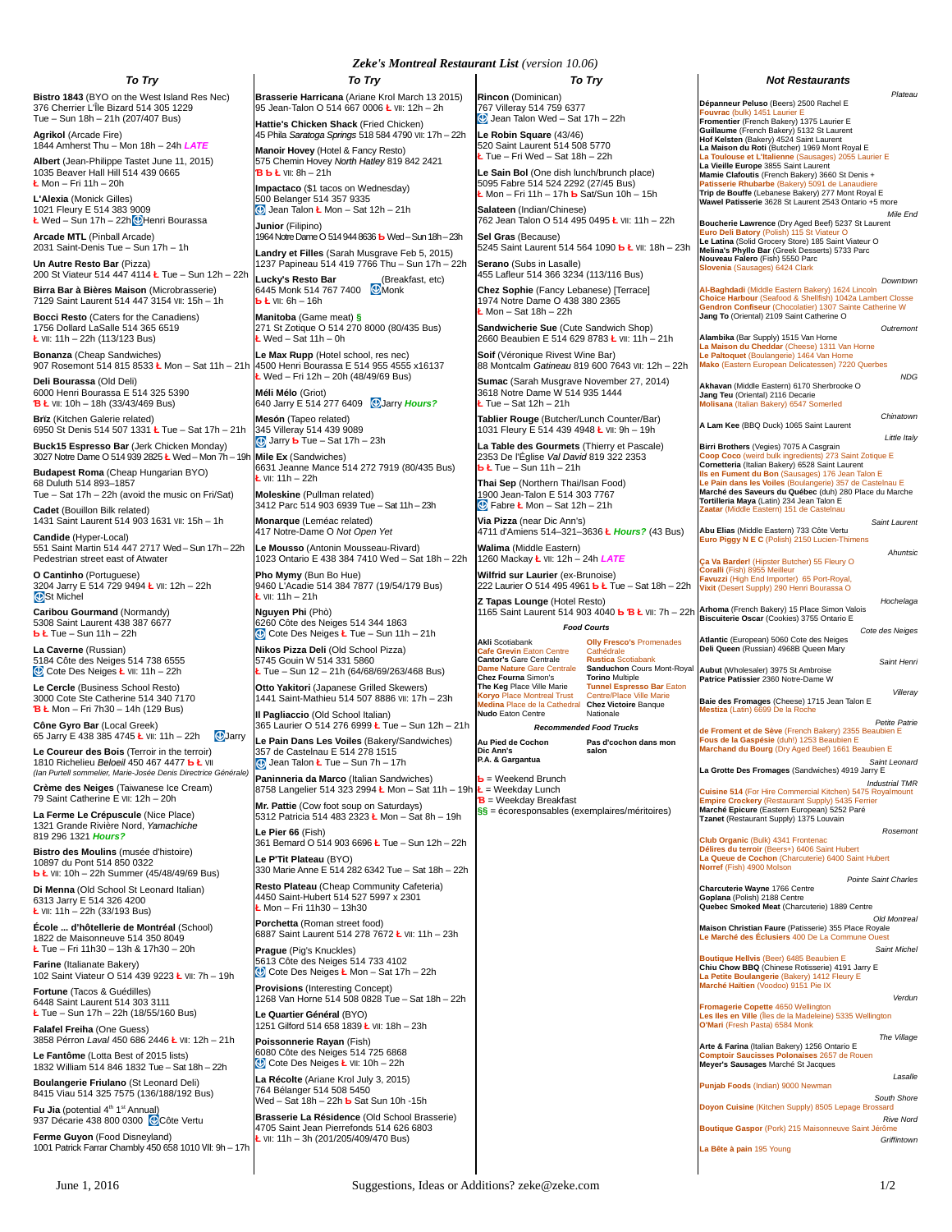## *To Try*

**Bistro 1843** (BYO on the West Island Res Nec) 376 Cherrier L'Île Bizard 514 305 1229 Tue – Sun 18h – 21h (207/407 Bus)

**Agrikol** (Arcade Fire) 1844 Amherst Thu – Mon 18h – 24h *LATE* **Albert** (Jean-Philippe Tastet June 11, 2015) 1035 Beaver Hall Hill 514 439 0665 **Ł** Mon – Fri 11h – 20h

**L'Alexia** (Monick Gilles) 1021 Fleury E 514 383 9009 **Ł** Wed – Sun 17h – 22h Henri Bourassa

**Arcade MTL** (Pinball Arcade) 2031 Saint-Denis Tue – Sun 17h – 1h **Un Autre Resto Bar** (Pizza)

200 St Viateur 514 447 4114 **Ł** Tue – Sun 12h – 22h **Birra Bar à Bières Maison** (Microbrasserie)

7129 Saint Laurent 514 447 3154 Ⅶ: 15h – 1h **Bocci Resto** (Caters for the Canadiens) 1756 Dollard LaSalle 514 365 6519 **Ł** Ⅶ: 11h – 22h (113/123 Bus)

**Bonanza** (Cheap Sandwiches) 907 Rosemont 514 815 8533 **Ł** Mon – Sat 11h – 21h 4500 Henri Bourassa E 514 955 4555 x16137

**Deli Bourassa** (Old Deli) 6000 Henri Bourassa E 514 325 5390 **Ɓ Ł** Ⅶ: 10h – 18h (33/43/469 Bus) **Brïz** (Kitchen Galerie related)

6950 St Denis 514 507 1331 **Ł** Tue – Sat 17h – 21h **Buck15 Espresso Bar** (Jerk Chicken Monday) 3027 Notre Dame O 514 939 2825 **Ł** Wed – Mon 7h – 19h

**Budapest Roma** (Cheap Hungarian BYO) 68 Duluth 514 893–1857

Tue – Sat 17h – 22h (avoid the music on Fri/Sat) **Cadet** (Bouillon Bilk related)

1431 Saint Laurent 514 903 1631 Ⅶ: 15h – 1h **Candide** (Hyper-Local)

551 Saint Martin 514 447 2717 Wed – Sun 17h – 22h Pedestrian street east of Atwater

**O Cantinho** (Portuguese) 3204 Jarry E 514 729 9494 **Ł** Ⅶ: 12h – 22h St Michel

**Caribou Gourmand** (Normandy) 5308 Saint Laurent 438 387 6677 **Ƅ Ł** Tue – Sun 11h – 22h

**La Caverne** (Russian) 5184 Côte des Neiges 514 738 6555 Cote Des Neiges **Ł** Ⅶ: 11h – 22h

**Le Cercle** (Business School Resto) 3000 Cote Ste Catherine 514 340 7170 **Ɓ Ł** Mon – Fri 7h30 – 14h (129 Bus)

**Cône Gyro Bar** (Local Greek)<br>65 Jarry E 438 385 4745 **Ł** Ⅶ: 11h – 22h <mark>①</mark>Jarry **Le Coureur des Bois** (Terroir in the terroir)

1810 Richelieu *Beloeil* 450 467 4477 **Ƅ Ł** Ⅶ *(Ian Purtell sommelier, Marie-Josée Denis Directrice Générale)* **Crème des Neiges** (Taiwanese Ice Cream)

79 Saint Catherine E Ⅶ: 12h – 20h **La Ferme Le Crépuscule** (Nice Place)

1321 Grande Rivière Nord, *Yamachiche* 819 296 1321 *Hours?*

**Bistro des Moulins** (musée d'histoire) 10897 du Pont 514 850 0322 **Ƅ Ł** Ⅶ: 10h – 22h Summer (45/48/49/69 Bus)

**Di Menna** (Old School St Leonard Italian) 6313 Jarry E 514 326 4200 **Ł** Ⅶ: 11h – 22h (33/193 Bus)

**École ... d'hôtellerie de Montréal** (School) 1822 de Maisonneuve 514 350 8049 **Ł** Tue – Fri 11h30 – 13h & 17h30 – 20h

**Farine** (Italianate Bakery) 102 Saint Viateur O 514 439 9223 **Ł** Ⅶ: 7h – 19h

**Fortune** (Tacos & Guédilles) 6448 Saint Laurent 514 303 3111 **Ł** Tue – Sun 17h – 22h (18/55/160 Bus)

**Falafel Freiha** (One Guess) 3858 Pérron *Laval* 450 686 2446 **Ł** Ⅶ: 12h – 21h

**Le Fantôme** (Lotta Best of 2015 lists) 1832 William 514 846 1832 Tue – Sat 18h – 22h

**Boulangerie Friulano** (St Leonard Deli) 8415 Viau 514 325 7575 (136/188/192 Bus)

**Fu Jia** (potential 4<sup>th</sup> 1<sup>st</sup> Annual) 937 Décarie 438 800 0300 C Côte Vertu **Ferme Guyon** (Food Disneyland)

1001 Patrick Farrar Chambly 450 658 1010 VII: 9h – 17h

*To Try* **Brasserie Harricana** (Ariane Krol March 13 2015) 95 Jean-Talon O 514 667 0006 **Ł** Ⅶ: 12h – 2h **Hattie's Chicken Shack** (Fried Chicken) 45 Phila *Saratoga Springs* 518 584 4790 Ⅶ: 17h – 22h **Manoir Hovey** (Hotel & Fancy Resto) 575 Chemin Hovey *North Hatley* 819 842 2421 **Ɓ Ƅ Ł** Ⅶ: 8h – 21h

**Impactaco** (\$1 tacos on Wednesday) 500 Belanger 514 357 9335 Jean Talon **Ł** Mon – Sat 12h – 21h

**Junior** (Filipino) 1964 Notre Dame O 514 944 8636 **Ƅ** Wed – Sun 18h – 23h **Landry et Filles** (Sarah Musgrave Feb 5, 2015)

1237 Papineau 514 419 7766 Thu – Sun 17h – 22h

**Lucky's Resto Bar** (Breakfast, etc)<br>6445 Monk 514 767 7400 Monk **Ƅ Ł** Ⅶ: 6h – 16h **Manitoba** (Game meat) **§** 271 St Zotique O 514 270 8000 (80/435 Bus)

**Ł** Wed – Sat 11h – 0h **Le Max Rupp** (Hotel school, res nec)

**Ł** Wed – Fri 12h – 20h (48/49/69 Bus) **Méli Mélo** (Griot)

640 Jarry E 514 277 6409 Jarry *Hours?* **Mesón** (Tapeo related) 345 Villeray 514 439 9089

 Jarry **Ƅ** Tue – Sat 17h – 23h **Mile Ex** (Sandwiches)

6631 Jeanne Mance 514 272 7919 (80/435 Bus) **Ł** Ⅶ: 11h – 22h **Moleskine** (Pullman related)

3412 Parc 514 903 6939 Tue – Sat 11h – 23h **Monarque** (Leméac related)

417 Notre-Dame O *Not Open Yet* **Le Mousso** (Antonin Mousseau-Rivard)

1023 Ontario E 438 384 7410 Wed – Sat 18h – 22h **Pho Mymy** (Bun Bo Hue)

9460 L'Acadie 514 384 7877 (19/54/179 Bus) **Ł** Ⅶ: 11h – 21h

**Nguyen Phi** (Phò) 6260 Côte des Neiges 514 344 1863 Cote Des Neiges **Ł** Tue – Sun 11h – 21h

**Nikos Pizza Deli** (Old School Pizza) 5745 Gouin W 514 331 5860 **Ł** Tue – Sun 12 – 21h (64/68/69/263/468 Bus)

**Otto Yakitori** (Japanese Grilled Skewers) 1441 Saint-Mathieu 514 507 8886 Ⅶ: 17h – 23h

**Il Pagliaccio** (Old School Italian) 365 Laurier O 514 276 6999 **Ł** Tue – Sun 12h – 21h **Le Pain Dans Les Voiles** (Bakery/Sandwiches) 357 de Castelnau E 514 278 1515

 Jean Talon **Ł** Tue – Sun 7h – 17h **Paninneria da Marco** (Italian Sandwiches)

8758 Langelier 514 323 2994 **Ł** Mon – Sat 11h – 19h **Ł** = Weekday Lunch **Mr. Pattie** (Cow foot soup on Saturdays) 5312 Patricia 514 483 2323 **Ł** Mon – Sat 8h – 19h

**Le Pier 66** (Fish) 361 Bernard O 514 903 6696 **Ł** Tue – Sun 12h – 22h **Le P'Tit Plateau** (BYO)

330 Marie Anne E 514 282 6342 Tue – Sat 18h – 22h **Resto Plateau** (Cheap Community Cafeteria) 4450 Saint-Hubert 514 527 5997 x 2301

**Ł** Mon – Fri 11h30 – 13h30 **Porchetta** (Roman street food)

6887 Saint Laurent 514 278 7672 **Ł** Ⅶ: 11h – 23h **Prague** (Pig's Knuckles) 5613 Côte des Neiges 514 733 4102

Cote Des Neiges **Ł** Mon – Sat 17h – 22h

**Provisions** (Interesting Concept) 1268 Van Horne 514 508 0828 Tue – Sat 18h – 22h **Le Quartier Général** (BYO)

1251 Gilford 514 658 1839 **Ł** Ⅶ: 18h – 23h **Poissonnerie Rayan** (Fish)

6080 Côte des Neiges 514 725 6868 Cote Des Neiges **Ł** Ⅶ: 10h – 22h **La Récolte** (Ariane Krol July 3, 2015)

764 Bélanger 514 508 5450 Wed – Sat 18h – 22h **Ƅ** Sat Sun 10h -15h

**Brasserie La Résidence** (Old School Brasserie) 4705 Saint Jean Pierrefonds 514 626 6803 **Ł** Ⅶ: 11h – 3h (201/205/409/470 Bus)

June 1, 2016 Suggestions, Ideas or Additions? zeke@zeke.com 1/2

#### *Zeke's Montreal Restaurant List (version 10.06) To Try*

**Rincon** (Dominican) 767 Villeray 514 759 6377 Jean Talon Wed – Sat 17h – 22h

**Le Robin Square** (43/46) 520 Saint Laurent 514 508 5770 **Ł** Tue – Fri Wed – Sat 18h – 22h

**Le Sain Bol** (One dish lunch/brunch place) 5095 Fabre 514 524 2292 (27/45 Bus) **Ł** Mon – Fri 11h – 17h **Ƅ** Sat/Sun 10h – 15h **Salateen** (Indian/Chinese)

762 Jean Talon O 514 495 0495 **Ł** Ⅶ: 11h – 22h

**Sel Gras** (Because) 5245 Saint Laurent 514 564 1090 **Ƅ Ł** Ⅶ: 18h – 23h **Serano** (Subs in Lasalle)

455 Lafleur 514 366 3234 (113/116 Bus)

**Chez Sophie** (Fancy Lebanese) [Terrace] 1974 Notre Dame O 438 380 2365 **Ł** Mon – Sat 18h – 22h

**Sandwicherie Sue** (Cute Sandwich Shop) 2660 Beaubien E 514 629 8783 **Ł** Ⅶ: 11h – 21h **Soif** (Véronique Rivest Wine Bar)

88 Montcalm *Gatineau* 819 600 7643 Ⅶ: 12h – 22h **Sumac** (Sarah Musgrave November 27, 2014) 3618 Notre Dame W 514 935 1444

**Ł** Tue – Sat 12h – 21h **Tablier Rouge** (Butcher/Lunch Counter/Bar) 1031 Fleury E 514 439 4948 **Ł** Ⅶ: 9h – 19h

**La Table des Gourmets** (Thierry et Pascale) 2353 De l'Église *Val David* 819 322 2353 **Ƅ Ł** Tue – Sun 11h – 21h

**Thai Sep** (Northern Thai/Isan Food) 1900 Jean-Talon E 514 303 7767 Fabre **Ł** Mon – Sat 12h – 21h

**Via Pizza** (near Dic Ann's) 4711 d'Amiens 514–321–3636 **Ł** *Hours?* (43 Bus)

**Walima** (Middle Eastern) 1260 Mackay **Ł** Ⅶ: 12h – 24h *LATE* **Wilfrid sur Laurier** (ex-Brunoise)

222 Laurier O 514 495 4961 **Ƅ Ł** Tue – Sat 18h – 22h

**Z Tapas Lounge** (Hotel Resto)<br>1165 Saint Laurent 514 903 4040 **Ь Ɓ Ł** Ⅶ: 7h – 22h *Food Courts*

**Akli** Scotiabank

**Cafe Grevin** Eaton Centre **Cantor's** Gare Centrale **Dame Nature** Gare Centrale **Chez Fourna** Simon's **The Keg** Place Ville Marie **Koryo** Place Montreal Trust **Medina** Place de la Cathedral **Nudo** Eaton Centre

*Recommended Food Trucks*

**Au Pied de Cochon**

**Ƅ** = Weekend Brunch **Ɓ** = Weekday Breakfast

**Olly Fresco's** Promenades Cathédrale<br>Rustica Scotiabank **Rustica** Scotiabank **Sanduchon** Cours Mont-Royal **Torino** Multiple **Tunnel Espresso Bar** Eaton e/Place Ville Marie **Chez Victoire** Banque Nationale

**Pas d'cochon dans mon salon**

**Dic Ann's P.A. & Gargantua**

**§§** = écoresponsables (exemplaires/méritoires)

#### *Not Restaurants*

*Plateau* **Dépanneur Peluso** (Beers) 2500 Rachel E **Fouvrac** (bulk) 1451 Laurier E **Fromentier** (French Bakery) 1375 Laurier E<br>**Guillaume** (French Bakery) 5132 St Laurent<br>**Hof Kelsten (Bakery) 4524 Saint Laurent<br><b>La Maison du Roti** (Butcher) 1969 Mont Royal E **La Toulouse et L'Italienne** (Sausages) 2055 Laurier E **La Vieille Europe** 3855 Saint Laurent **Mamie Clafoutis** (French Bakery) 3660 St Denis +<br><mark>Patisserie Rhubarbe</mark> (Bakery) 5091 de Lanaudiere<br>T**rip de Bouffe** (Lebanese Bakery) 277 Mont Royal E<br>Wawel **Patisserie** 3628 St Laurent 2543 Ontario +5 more

*Mile End* **Boucherie Lawrence** (Dry Aged Beef) 5237 St Laurent <mark>Euro Deli Batory (P</mark>olish) 115 St Viateur O<br>Le Latina (Solid Grocery Store) 185 Saint Viateur O<br>Melina's Phyllo Bar (Greek Desserts) 5733 Parc<br>Nouveau Falero (Fish) 5550 Parc<br><mark>Slovenia (Sausages) 6424 Clar</mark>k

*Downtown* Al-Baghdadi (Middle Eastern Bakery) 1624 Lincoln<br>Choice Harbour (Seafood & Shellfish) 1042a Lambert Closse<br>Gendron Confiseur (Chocolatier) 1307 Sainte Catherine W<br>Jang To (Oriental) 2109 Saint Catherine O

*Outremont* **Alambika** (Bar Supply) 1515 Van Horne **La Maison du Cheddar** (Cheese) 1311 Van Horne **Le Paltoquet** (Boulangerie) 1464 Van Horne **Mako** (Eastern European Delicatessen) 7220 Querbes

*NDG*

*Chinatown*

*Little Italy*

*Ahuntsic*

*Hochelaga*

*Saint Henri*

*Petite Patrie*

*Saint Leonard*

*Industrial TMR*

*Rosemont*

*Pointe Saint Charles*

*Old Montreal*

*Saint Michel*

*Verdun*

*The Village*

*Lasalle*

*South Shore*

*Rive Nord*

*Griffintown*

*Villeray*

*Cote des Neiges*

**Akhavan** (Middle Eastern) 6170 Sherbrooke O **Jang Teu** (Oriental) 2116 Decarie

**Molisana** (Italian Bakery) 6547 Somerled

**A Lam Kee** (BBQ Duck) 1065 Saint Laurent

**Birri Brothers** (Vegies) 7075 A Casgrain **Coop Coco** (weird bulk ingredients) 273 Saint Zotique E <mark>Coop Coco</mark> (weird bulk ingredients) 273 Saint Z<br>**Cornetteria** (Italian Bakery) 6528 Saint Laurent **Ils en Fument du Bon** (Sausages) 176 Jean Talon E **Le Pain dans les Voiles** (Boulangerie) 357 de Castelnau E **Marché des Saveurs du Québec** (duh) 280 Place du Marche **Tortilleria Maya** (Latin) 234 Jean Talon E **Zaatar** (Middle Eastern) 151 de Castelnau

*Saint Laurent* **Abu Elias** (Middle Eastern) 733 Côte Vertu **Euro Piggy N E C** (Polish) 2150 Lucien-Thimens

**Ça Va Barder!** (Hipster Butcher) 55 Fleury O **Coralli** (Fish) 8955 Meilleur **Favuzzi** (High End Importer) 65 Port-Royal, **Vixit** (Desert Supply) 290 Henri Bourassa O

**Arhoma** (French Bakery) 15 Place Simon Valois **Biscuiterie Oscar** (Cookies) 3755 Ontario E

**Baie des Fromages** (Cheese) 1715 Jean Talon E **Mestiza** (Latin) 6699 De la Roche

**Fous de la Gaspésie** (duh!) 1253 Beaubien E **Marchand du Bourg** (Dry Aged Beef) 1661 Beaubien E

**La Grotte Des Fromages** (Sandwiches) 4919 Jarry E

**Cuisine 514** (For Hire Commercial Kitchen) 5475 Royalmount **Empire Crockery** (Restaurant Supply) 5435 Ferrier **Marché Epicure** (Eastern European) 5252 Paré **Tzanet** (Restaurant Supply) 1375 Louvain

**Club Organic** (Bulk) 4341 Frontenac **Délires du terroir** (Beers+) 6406 Saint Hubert **La Queue de Cochon** (Charcuterie) 6400 Saint Hubert **Norref** (Fish) 4900 Molson

**Goplana** (Polish) 2188 Centre **Quebec Smoked Meat** (Charcuterie) 1889 Centre

**Boutique Hellvis** (Beer) 6485 Beaubien E **Chiu Chow BBQ** (Chinese Rotisserie) 4191 Jarry E **La Petite Boulangerie** (Bakery) 1412 Fleury E **Marché Haïtien** (Voodoo) 9151 Pie IX

**Maison Christian Faure** (Patisserie) 355 Place Royale **Le Marché des Éclusiers** 400 De La Commune Ouest

**Fromagerie Copette** 4650 Wellington **Les Iles en Ville** (Îles de la Madeleine) 5335 Wellington

**Arte & Farina** (Italian Bakery) 1256 Ontario E<br><mark>Comptoir Saucisses Polonaises</mark> 2657 de Rouer **Comptoir Saucisses Polonaises** 2657 de Rouen **Meyer's Sausages** Marché St Jacques

**Doyon Cuisine** (Kitchen Supply) 8505 Lepage Bros

**Boutique Gaspor** (Pork) 215 Maisonneuve Saint Jé

**Charcuterie Wayne** 1766 Centre

**O'Mari** (Fresh Pasta) 6584 Monk

**Punjab Foods** (Indian) 9000 Newman

**La Bête à pain** 195 Young

**de Froment et de Sève** (French Bakery) 2355 Beaubien E

**Atlantic** (European) 5060 Cote des Neiges **Deli Queen** (Russian) 4968B Queen Mary

**Aubut** (Wholesaler) 3975 St Ambroise **Patrice Patissier** 2360 Notre-Dame W